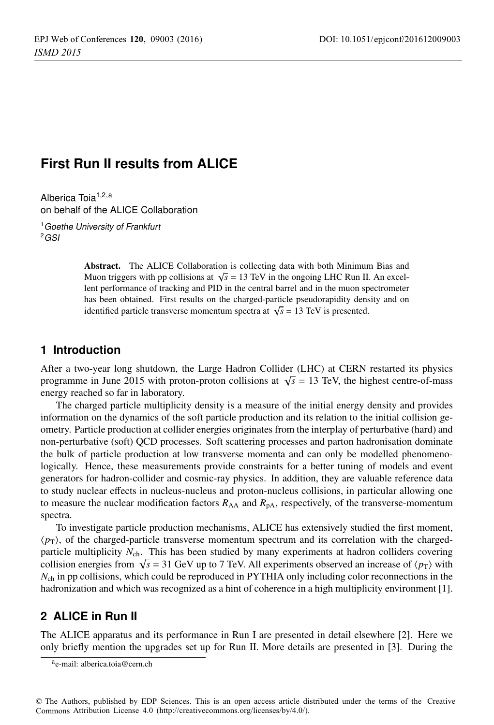# **First Run II results from ALICE**

Alberica Toia<sup>1,2,a</sup> on behalf of the ALICE Collaboration

<sup>1</sup> Goethe University of Frankfurt  $2GSI$ 

> Abstract. The ALICE Collaboration is collecting data with both Minimum Bias and Muon triggers with pp collisions at  $\sqrt{s}$  = 13 TeV in the ongoing LHC Run II. An excellent performance of tracking and PID in the central barrel and in the muon spectrometer has been obtained. First results on the charged-particle pseudorapidity density and on identified particle transverse momentum spectra at  $\sqrt{s}$  = 13 TeV is presented.

### **1 Introduction**

After a two-year long shutdown, the Large Hadron Collider (LHC) at CERN restarted its physics programme in June 2015 with proton-proton collisions at  $\sqrt{s}$  = 13 TeV, the highest centre-of-mass energy reached so far in laboratory.

The charged particle multiplicity density is a measure of the initial energy density and provides information on the dynamics of the soft particle production and its relation to the initial collision geometry. Particle production at collider energies originates from the interplay of perturbative (hard) and non-perturbative (soft) QCD processes. Soft scattering processes and parton hadronisation dominate the bulk of particle production at low transverse momenta and can only be modelled phenomenologically. Hence, these measurements provide constraints for a better tuning of models and event generators for hadron-collider and cosmic-ray physics. In addition, they are valuable reference data to study nuclear effects in nucleus-nucleus and proton-nucleus collisions, in particular allowing one to measure the nuclear modification factors  $R_{AA}$  and  $R_{pA}$ , respectively, of the transverse-momentum spectra.

To investigate particle production mechanisms, ALICE has extensively studied the first moment,  $\langle p_{\rm T} \rangle$ , of the charged-particle transverse momentum spectrum and its correlation with the chargedparticle multiplicity  $N_{\text{ch}}$ . This has been studied by many experiments at hadron colliders covering collision energies from  $\sqrt{s}$  = 31 GeV up to 7 TeV. All experiments observed an increase of  $\langle p_T \rangle$  with  $N_{\rm ch}$  in pp collisions, which could be reproduced in PYTHIA only including color reconnections in the hadronization and which was recognized as a hint of coherence in a high multiplicity environment [1].

# **2 ALICE in Run II**

The ALICE apparatus and its performance in Run I are presented in detail elsewhere [2]. Here we only briefly mention the upgrades set up for Run II. More details are presented in [3]. During the

ae-mail: [alberica.toia@cern.ch](mailto:alberica.toia@cern.ch)

<sup>©</sup> The Authors, published by EDP Sciences. This is an open access article distributed under the terms of the Creative Commons Attribution License 4.0 ([http://creativecommons.org/licenses/by/4.0/\).](http://creativecommons.org/licenses/by/4.0/)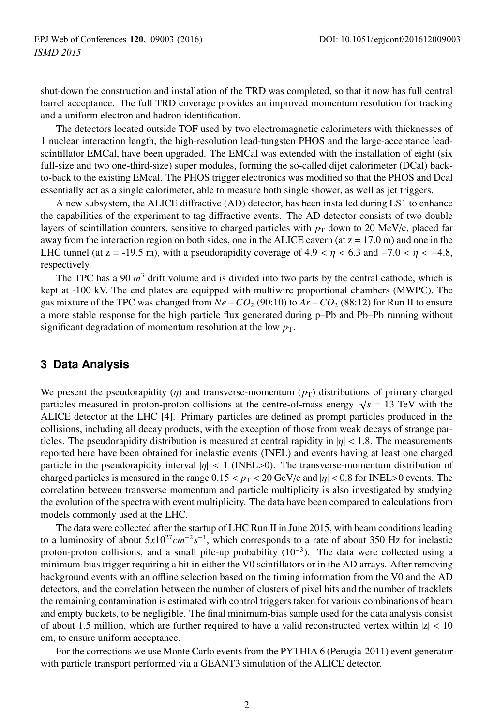shut-down the construction and installation of the TRD was completed, so that it now has full central barrel acceptance. The full TRD coverage provides an improved momentum resolution for tracking and a uniform electron and hadron identification.

The detectors located outside TOF used by two electromagnetic calorimeters with thicknesses of 1 nuclear interaction length, the high-resolution lead-tungsten PHOS and the large-acceptance leadscintillator EMCal, have been upgraded. The EMCal was extended with the installation of eight (six full-size and two one-third-size) super modules, forming the so-called dijet calorimeter (DCal) backto-back to the existing EMcal. The PHOS trigger electronics was modified so that the PHOS and Dcal essentially act as a single calorimeter, able to measure both single shower, as well as jet triggers.

A new subsystem, the ALICE diffractive (AD) detector, has been installed during LS1 to enhance the capabilities of the experiment to tag diffractive events. The AD detector consists of two double layers of scintillation counters, sensitive to charged particles with  $p_T$  down to 20 MeV/c, placed far away from the interaction region on both sides, one in the ALICE cavern (at  $z = 17.0$  m) and one in the LHC tunnel (at z = -19.5 m), with a pseudorapidity coverage of 4.9 <  $\eta$  < 6.3 and -7.0 <  $\eta$  < -4.8, respectively.

The TPC has a 90 *m*<sup>3</sup> drift volume and is divided into two parts by the central cathode, which is kept at -100 kV. The end plates are equipped with multiwire proportional chambers (MWPC). The gas mixture of the TPC was changed from *Ne*−*CO*<sup>2</sup> (90:10) to *Ar* −*CO*<sup>2</sup> (88:12) for Run II to ensure a more stable response for the high particle flux generated during p–Pb and Pb–Pb running without significant degradation of momentum resolution at the low  $p<sub>T</sub>$ .

# **3 Data Analysis**

We present the pseudorapidity ( $\eta$ ) and transverse-momentum ( $p_T$ ) distributions of primary charged particles measured in proton-proton collisions at the centre-of-mass energy  $\sqrt{s}$  = 13 TeV with the ALICE detector at the LHC [4]. Primary particles are defined as prompt particles produced in the collisions, including all decay products, with the exception of those from weak decays of strange particles. The pseudorapidity distribution is measured at central rapidity in  $|\eta| < 1.8$ . The measurements reported here have been obtained for inelastic events (INEL) and events having at least one charged particle in the pseudorapidity interval  $|\eta| < 1$  (INEL>0). The transverse-momentum distribution of charged particles is measured in the range  $0.15 < p_T < 20 \text{ GeV/c}$  and  $|\eta| < 0.8$  for INEL > 0 events. The correlation between transverse momentum and particle multiplicity is also investigated by studying the evolution of the spectra with event multiplicity. The data have been compared to calculations from models commonly used at the LHC.

The data were collected after the startup of LHC Run II in June 2015, with beam conditions leading to a luminosity of about  $5x10^{27}$ *cm*<sup>−2</sup> *s*<sup>−1</sup>, which corresponds to a rate of about 350 Hz for inelastic proton-proton collisions, and a small pile-up probability  $(10^{-3})$ . The data were collected using a minimum-bias trigger requiring a hit in either the V0 scintillators or in the AD arrays. After removing background events with an offline selection based on the timing information from the V0 and the AD detectors, and the correlation between the number of clusters of pixel hits and the number of tracklets the remaining contamination is estimated with control triggers taken for various combinations of beam and empty buckets, to be negligible. The final minimum-bias sample used for the data analysis consist of about 1.5 million, which are further required to have a valid reconstructed vertex within  $|z|$  < 10 cm, to ensure uniform acceptance.

For the corrections we use Monte Carlo events from the PYTHIA 6 (Perugia-2011) event generator with particle transport performed via a GEANT3 simulation of the ALICE detector.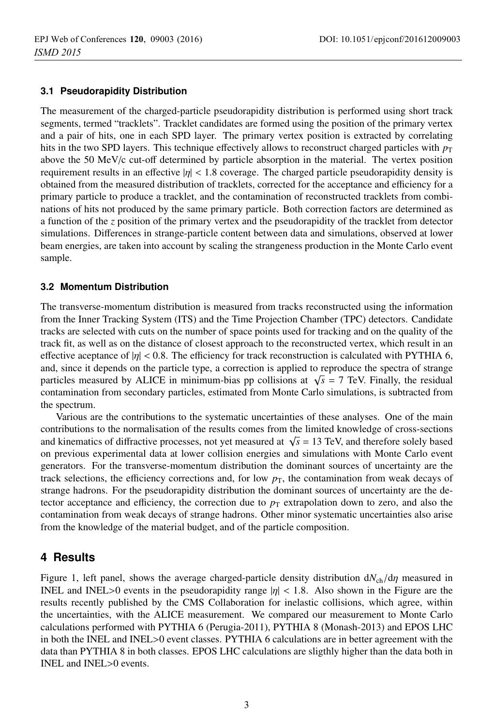#### **3.1 Pseudorapidity Distribution**

The measurement of the charged-particle pseudorapidity distribution is performed using short track segments, termed "tracklets". Tracklet candidates are formed using the position of the primary vertex and a pair of hits, one in each SPD layer. The primary vertex position is extracted by correlating hits in the two SPD layers. This technique effectively allows to reconstruct charged particles with  $p<sub>T</sub>$ above the 50 MeV/c cut-off determined by particle absorption in the material. The vertex position requirement results in an effective  $|\eta| < 1.8$  coverage. The charged particle pseudorapidity density is obtained from the measured distribution of tracklets, corrected for the acceptance and efficiency for a primary particle to produce a tracklet, and the contamination of reconstructed tracklets from combinations of hits not produced by the same primary particle. Both correction factors are determined as a function of the *z* position of the primary vertex and the pseudorapidity of the tracklet from detector simulations. Differences in strange-particle content between data and simulations, observed at lower beam energies, are taken into account by scaling the strangeness production in the Monte Carlo event sample.

#### **3.2 Momentum Distribution**

The transverse-momentum distribution is measured from tracks reconstructed using the information from the Inner Tracking System (ITS) and the Time Projection Chamber (TPC) detectors. Candidate tracks are selected with cuts on the number of space points used for tracking and on the quality of the track fit, as well as on the distance of closest approach to the reconstructed vertex, which result in an effective aceptance of  $|\eta| < 0.8$ . The efficiency for track reconstruction is calculated with PYTHIA 6, and, since it depends on the particle type, a correction is applied to reproduce the spectra of strange particles measured by ALICE in minimum-bias pp collisions at  $\sqrt{s}$  = 7 TeV. Finally, the residual contamination from secondary particles, estimated from Monte Carlo simulations, is subtracted from the spectrum.

Various are the contributions to the systematic uncertainties of these analyses. One of the main contributions to the normalisation of the results comes from the limited knowledge of cross-sections and kinematics of diffractive processes, not yet measured at  $\sqrt{s}$  = 13 TeV, and therefore solely based on previous experimental data at lower collision energies and simulations with Monte Carlo event generators. For the transverse-momentum distribution the dominant sources of uncertainty are the track selections, the efficiency corrections and, for low  $p<sub>T</sub>$ , the contamination from weak decays of strange hadrons. For the pseudorapidity distribution the dominant sources of uncertainty are the detector acceptance and efficiency, the correction due to  $p<sub>T</sub>$  extrapolation down to zero, and also the contamination from weak decays of strange hadrons. Other minor systematic uncertainties also arise from the knowledge of the material budget, and of the particle composition.

### **4 Results**

Figure 1, left panel, shows the average charged-particle density distribution d*N*ch/dη measured in INEL and INEL>0 events in the pseudorapidity range  $|\eta| < 1.8$ . Also shown in the Figure are the results recently published by the CMS Collaboration for inelastic collisions, which agree, within the uncertainties, with the ALICE measurement. We compared our measurement to Monte Carlo calculations performed with PYTHIA 6 (Perugia-2011), PYTHIA 8 (Monash-2013) and EPOS LHC in both the INEL and INEL>0 event classes. PYTHIA 6 calculations are in better agreement with the data than PYTHIA 8 in both classes. EPOS LHC calculations are sligthly higher than the data both in INEL and INEL>0 events.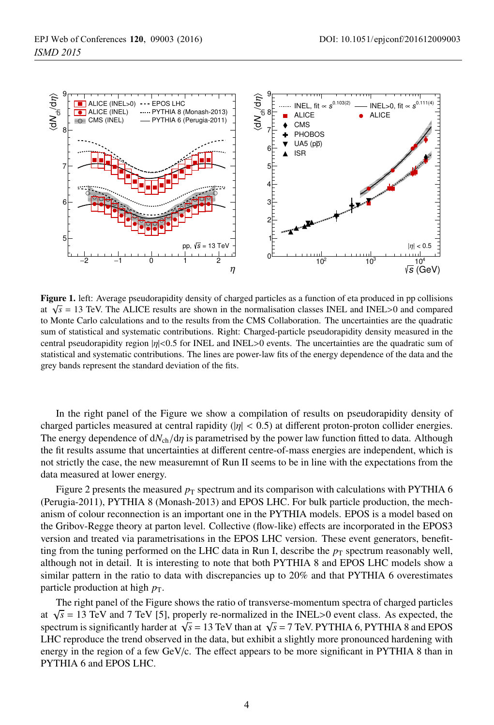

Figure 1. left: Average pseudorapidity density of charged particles as a function of eta produced in pp collisions at  $\sqrt{s}$  = 13 TeV. The ALICE results are shown in the normalisation classes INEL and INEL>0 and compared to Monte Carlo calculations and to the results from the CMS Collaboration. The uncertainties are the quadratic sum of statistical and systematic contributions. Right: Charged-particle pseudorapidity density measured in the central pseudorapidity region |η|<0.5 for INEL and INEL>0 events. The uncertainties are the quadratic sum of statistical and systematic contributions. The lines are power-law fits of the energy dependence of the data and the grey bands represent the standard deviation of the fits.

In the right panel of the Figure we show a compilation of results on pseudorapidity density of charged particles measured at central rapidity  $(|\eta| < 0.5)$  at different proton-proton collider energies. The energy dependence of  $dN_{ch}/d\eta$  is parametrised by the power law function fitted to data. Although the fit results assume that uncertainties at different centre-of-mass energies are independent, which is not strictly the case, the new measuremnt of Run II seems to be in line with the expectations from the data measured at lower energy.

Figure 2 presents the measured  $p<sub>T</sub>$  spectrum and its comparison with calculations with PYTHIA 6 (Perugia-2011), PYTHIA 8 (Monash-2013) and EPOS LHC. For bulk particle production, the mechanism of colour reconnection is an important one in the PYTHIA models. EPOS is a model based on the Gribov-Regge theory at parton level. Collective (flow-like) effects are incorporated in the EPOS3 version and treated via parametrisations in the EPOS LHC version. These event generators, benefitting from the tuning performed on the LHC data in Run I, describe the  $p<sub>T</sub>$  spectrum reasonably well, although not in detail. It is interesting to note that both PYTHIA 8 and EPOS LHC models show a similar pattern in the ratio to data with discrepancies up to 20% and that PYTHIA 6 overestimates particle production at high  $p<sub>T</sub>$ .

The right panel of the Figure shows the ratio of transverse-momentum spectra of charged particles at  $\sqrt{s}$  = 13 TeV and 7 TeV [5], properly re-normalized in the INEL>0 event class. As expected, the spectrum is significantly harder at  $\sqrt{s}$  = 13 TeV than at  $\sqrt{s}$  = 7 TeV. PYTHIA 6, PYTHIA 8 and EPOS LHC reproduce the trend observed in the data, but exhibit a slightly more pronounced hardening with energy in the region of a few GeV/c. The effect appears to be more significant in PYTHIA 8 than in PYTHIA 6 and EPOS LHC.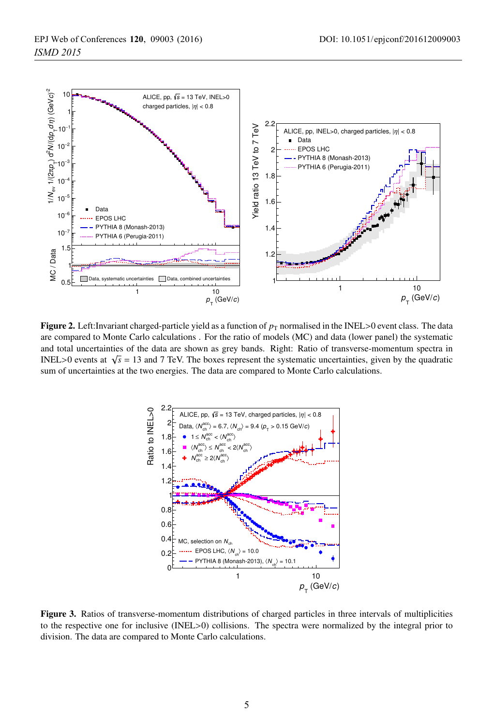

**Figure 2.** Left:Invariant charged-particle yield as a function of  $p<sub>T</sub>$  normalised in the INEL>0 event class. The data are compared to Monte Carlo calculations . For the ratio of models (MC) and data (lower panel) the systematic and total uncertainties of the data are shown as grey bands. Right: Ratio of transverse-momentum spectra in INEL>0 events at  $\sqrt{s}$  = 13 and 7 TeV. The boxes represent the systematic uncertainties, given by the quadratic sum of uncertainties at the two energies. The data are compared to Monte Carlo calculations.



Figure 3. Ratios of transverse-momentum distributions of charged particles in three intervals of multiplicities to the respective one for inclusive (INEL>0) collisions. The spectra were normalized by the integral prior to division. The data are compared to Monte Carlo calculations.